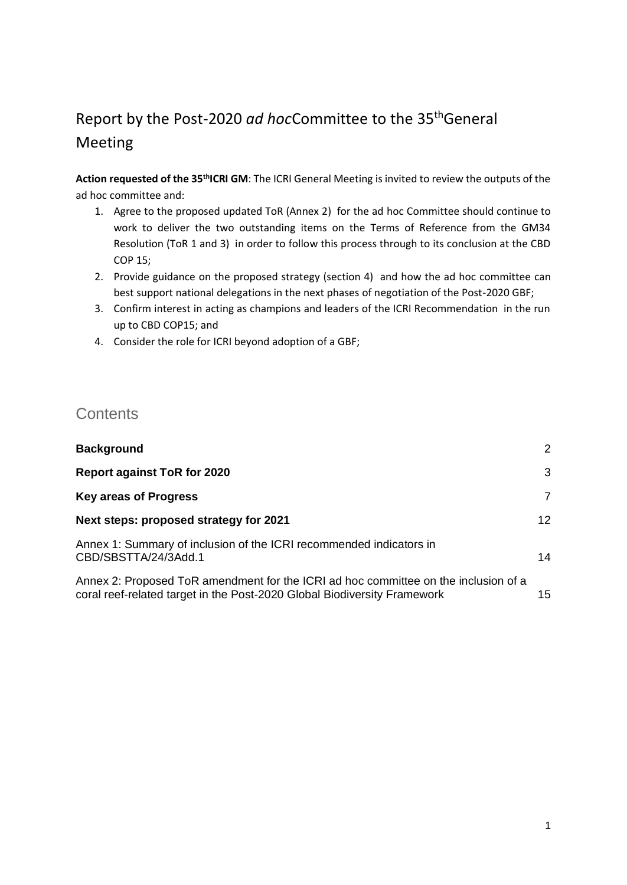## Report by the Post-2020 *ad hoc*Committee to the 35thGeneral Meeting

**Action requested of the 35thICRI GM**: The ICRI General Meeting is invited to review the outputs of the ad hoc committee and:

- 1. Agree to the proposed updated ToR (Annex 2) for the ad hoc Committee should continue to work to deliver the two outstanding items on the Terms of Reference from the GM34 Resolution (ToR 1 and 3) in order to follow this process through to its conclusion at the CBD COP 15;
- 2. Provide guidance on the proposed strategy (section 4) and how the ad hoc committee can best support national delegations in the next phases of negotiation of the Post-2020 GBF;
- 3. Confirm interest in acting as champions and leaders of the ICRI Recommendation in the run up to CBD COP15; and
- 4. Consider the role for ICRI beyond adoption of a GBF;

### **Contents**

| <b>Background</b>                                                                                                                                               | 2  |
|-----------------------------------------------------------------------------------------------------------------------------------------------------------------|----|
| <b>Report against ToR for 2020</b>                                                                                                                              | 3  |
| <b>Key areas of Progress</b>                                                                                                                                    | 7  |
| Next steps: proposed strategy for 2021                                                                                                                          | 12 |
| Annex 1: Summary of inclusion of the ICRI recommended indicators in<br>CBD/SBSTTA/24/3Add.1                                                                     | 14 |
| Annex 2: Proposed ToR amendment for the ICRI ad hoc committee on the inclusion of a<br>coral reef-related target in the Post-2020 Global Biodiversity Framework | 15 |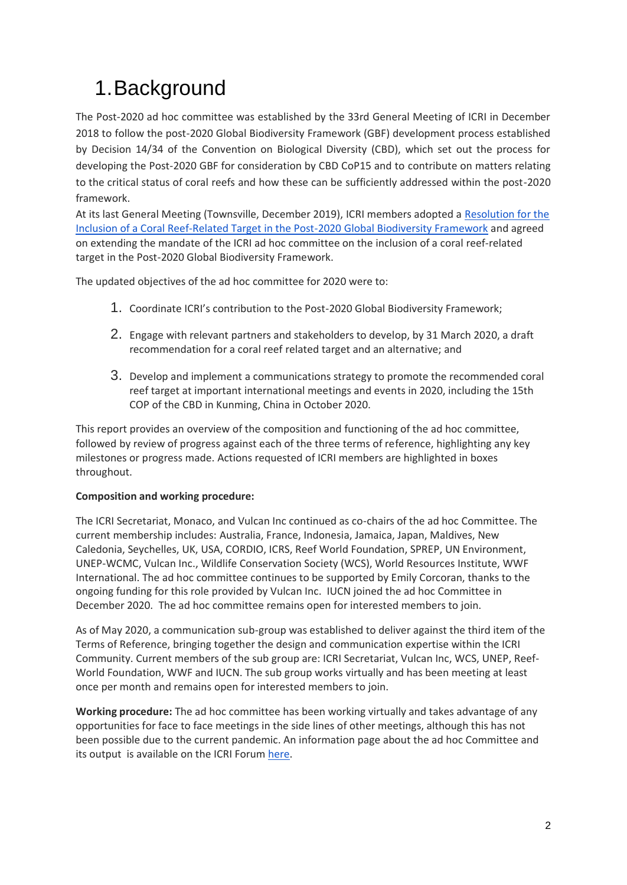# <span id="page-1-0"></span>1.Background

The Post-2020 ad hoc committee was established by the 33rd General Meeting of ICRI in December 2018 to follow the post-2020 Global Biodiversity Framework (GBF) development process established by Decision 14/34 of the Convention on Biological Diversity (CBD), which set out the process for developing the Post-2020 GBF for consideration by CBD CoP15 and to contribute on matters relating to the critical status of coral reefs and how these can be sufficiently addressed within the post-2020 framework.

At its last General Meeting (Townsville, December 2019), ICRI members adopted a [Resolution for the](https://www.icriforum.org/wp-content/uploads/2020/05/ICRIGM34-decision-Post2020-ahc.pdf)  [Inclusion of a Coral Reef-Related Target in the Post-2020 Global Biodiversity Framework](https://www.icriforum.org/wp-content/uploads/2020/05/ICRIGM34-decision-Post2020-ahc.pdf) and agreed on extending the mandate of the ICRI ad hoc committee on the inclusion of a coral reef-related target in the Post-2020 Global Biodiversity Framework.

The updated objectives of the ad hoc committee for 2020 were to:

- 1. Coordinate ICRI's contribution to the Post-2020 Global Biodiversity Framework;
- 2. Engage with relevant partners and stakeholders to develop, by 31 March 2020, a draft recommendation for a coral reef related target and an alternative; and
- 3. Develop and implement a communications strategy to promote the recommended coral reef target at important international meetings and events in 2020, including the 15th COP of the CBD in Kunming, China in October 2020.

This report provides an overview of the composition and functioning of the ad hoc committee, followed by review of progress against each of the three terms of reference, highlighting any key milestones or progress made. Actions requested of ICRI members are highlighted in boxes throughout.

#### **Composition and working procedure:**

The ICRI Secretariat, Monaco, and Vulcan Inc continued as co-chairs of the ad hoc Committee. The current membership includes: Australia, France, Indonesia, Jamaica, Japan, Maldives, New Caledonia, Seychelles, UK, USA, CORDIO, ICRS, Reef World Foundation, SPREP, UN Environment, UNEP-WCMC, Vulcan Inc., Wildlife Conservation Society (WCS), World Resources Institute, WWF International. The ad hoc committee continues to be supported by Emily Corcoran, thanks to the ongoing funding for this role provided by Vulcan Inc. IUCN joined the ad hoc Committee in December 2020. The ad hoc committee remains open for interested members to join.

As of May 2020, a communication sub-group was established to deliver against the third item of the Terms of Reference, bringing together the design and communication expertise within the ICRI Community. Current members of the sub group are: ICRI Secretariat, Vulcan Inc, WCS, UNEP, Reef-World Foundation, WWF and IUCN. The sub group works virtually and has been meeting at least once per month and remains open for interested members to join.

**Working procedure:** The ad hoc committee has been working virtually and takes advantage of any opportunities for face to face meetings in the side lines of other meetings, although this has not been possible due to the current pandemic. An information page about the ad hoc Committee and its output is available on the ICRI Forum [here.](https://www.icriforum.org/terms-of-reference-for-the-ad-hoc-committee-on-developing-a-recommendation-for-a-post-2020-coral-reef-target/)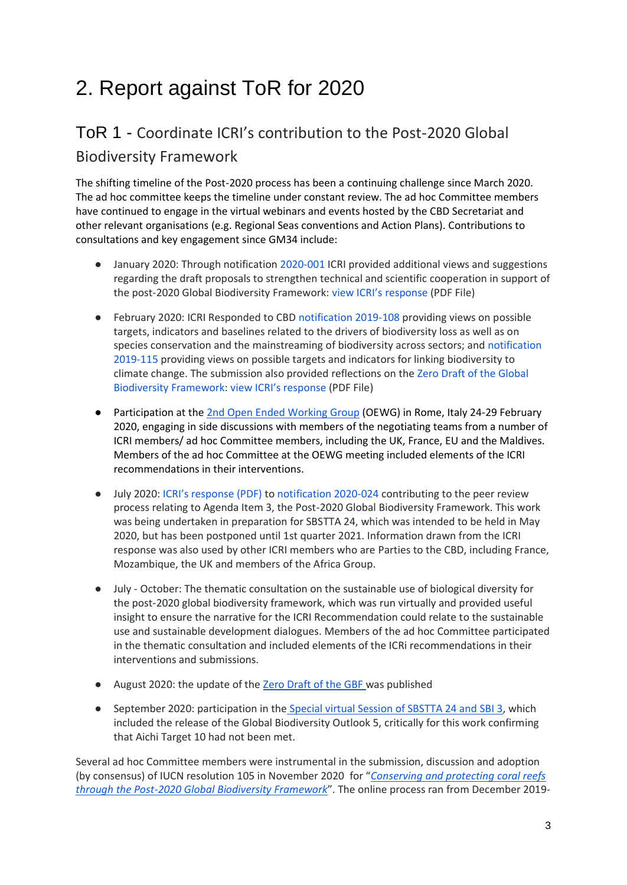# <span id="page-2-0"></span>2. Report against ToR for 2020

### ToR 1 - Coordinate ICRI's contribution to the Post-2020 Global Biodiversity Framework

The shifting timeline of the Post-2020 process has been a continuing challenge since March 2020. The ad hoc committee keeps the timeline under constant review. The ad hoc Committee members have continued to engage in the virtual webinars and events hosted by the CBD Secretariat and other relevant organisations (e.g. Regional Seas conventions and Action Plans). Contributions to consultations and key engagement since GM34 include:

- January 2020: Through notification [2020-001](https://www.cbd.int/doc/notifications/2020/ntf-2020-001-post2020-en.pdf) ICRI provided additional views and suggestions regarding the draft proposals to strengthen technical and scientific cooperation in support of the post-2020 Global Biodiversity Framework: [view ICRI's response](https://www.icriforum.org/wp-content/uploads/2020/05/03022020-ICRI-Response-2019-108-115_0.pdf) (PDF File)
- February 2020: ICRI Responded to CBD [notification 2019-108](https://www.cbd.int/doc/notifications/2019/ntf-2019-108-post2020-en.pdf) providing views on possible targets, indicators and baselines related to the drivers of biodiversity loss as well as on species conservation and the mainstreaming of biodiversity across sectors; an[d notification](https://www.cbd.int/doc/notifications/2019/ntf-2019-115-cc-en.pdf)  [2019-115](https://www.cbd.int/doc/notifications/2019/ntf-2019-115-cc-en.pdf) providing views on possible targets and indicators for linking biodiversity to climate change. The submission also provided reflections on th[e Zero Draft of the Global](https://www.cbd.int/doc/c/efb0/1f84/a892b98d2982a829962b6371/wg2020-02-03-en.pdf)  [Biodiversity Framework:](https://www.cbd.int/doc/c/efb0/1f84/a892b98d2982a829962b6371/wg2020-02-03-en.pdf) [view ICRI's response](https://www.icriforum.org/wp-content/uploads/2020/05/03022020-ICRI-Response-2019-108-115_0.pdf) (PDF File)
- Participation at the [2nd Open Ended Working Group](https://www.cbd.int/doc/c/b14d/6af5/a97c4f2c9d58203f5e2e059c/wg2020-02-04-en.pdf) (OEWG) in Rome, Italy 24-29 February 2020, engaging in side discussions with members of the negotiating teams from a number of ICRI members/ ad hoc Committee members, including the UK, France, EU and the Maldives. Members of the ad hoc Committee at the OEWG meeting included elements of the ICRI recommendations in their interventions.
- July 2020: [ICRI's response \(PDF\)](https://www.icriforum.org/wp-content/uploads/2020/07/202007_SBSTTA24_review_ICRI.pdf) to [notification 2020-024](https://www.cbd.int/conferences/post2020/submissions/2020-045) contributing to the peer review process relating to Agenda Item 3, the Post-2020 Global Biodiversity Framework. This work was being undertaken in preparation for SBSTTA 24, which was intended to be held in May 2020, but has been postponed until 1st quarter 2021. Information drawn from the ICRI response was also used by other ICRI members who are Parties to the CBD, including France, Mozambique, the UK and members of the Africa Group.
- July October: The thematic consultation on the sustainable use of biological diversity for the post-2020 global biodiversity framework, which was run virtually and provided useful insight to ensure the narrative for the ICRI Recommendation could relate to the sustainable use and sustainable development dialogues. Members of the ad hoc Committee participated in the thematic consultation and included elements of the ICRi recommendations in their interventions and submissions.
- August 2020: the update of the [Zero Draft of the GBF w](https://www.cbd.int/doc/c/3064/749a/0f65ac7f9def86707f4eaefa/post2020-prep-02-01-en.pdf)as published
- September 2020: participation in the [Special virtual Session of SBSTTA 24 and SBI 3,](https://www.cbd.int/conferences/sbstta24-sbi3-prep) which included the release of the Global Biodiversity Outlook 5, critically for this work confirming that Aichi Target 10 had not been met.

Several ad hoc Committee members were instrumental in the submission, discussion and adoption (by consensus) of IUCN resolution 105 in November 2020 for "*[Conserving and protecting coral reefs](https://portals.iucn.org/library/node/49244)  [through the Post-2020 Global Biodiversity Framework](https://portals.iucn.org/library/node/49244)*". The online process ran from December 2019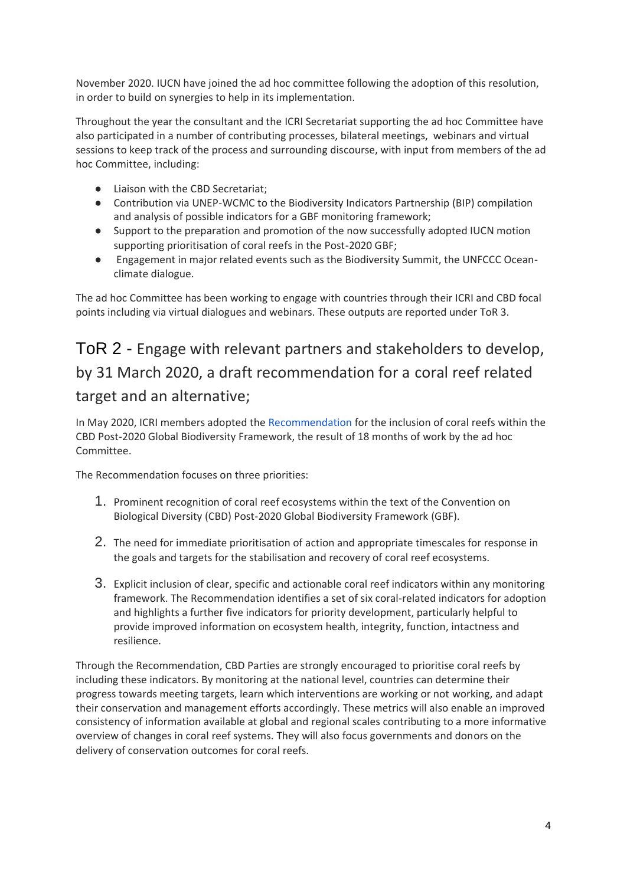November 2020. IUCN have joined the ad hoc committee following the adoption of this resolution, in order to build on synergies to help in its implementation.

Throughout the year the consultant and the ICRI Secretariat supporting the ad hoc Committee have also participated in a number of contributing processes, bilateral meetings, webinars and virtual sessions to keep track of the process and surrounding discourse, with input from members of the ad hoc Committee, including:

- Liaison with the CBD Secretariat;
- Contribution via UNEP-WCMC to the Biodiversity Indicators Partnership (BIP) compilation and analysis of possible indicators for a GBF monitoring framework;
- Support to the preparation and promotion of the now successfully adopted IUCN motion supporting prioritisation of coral reefs in the Post-2020 GBF;
- Engagement in major related events such as the Biodiversity Summit, the UNFCCC Oceanclimate dialogue.

The ad hoc Committee has been working to engage with countries through their ICRI and CBD focal points including via virtual dialogues and webinars. These outputs are reported under ToR 3.

## ToR 2 - Engage with relevant partners and stakeholders to develop, by 31 March 2020, a draft recommendation for a coral reef related target and an alternative;

In May 2020, ICRI members adopted the [Recommendation](https://www.icriforum.org/wp-content/uploads/2020/05/ICRI-recommendation-Post2020-FINAL.pdf) for the inclusion of coral reefs within the CBD Post-2020 Global Biodiversity Framework, the result of 18 months of work by the ad hoc Committee.

The Recommendation focuses on three priorities:

- 1. Prominent recognition of coral reef ecosystems within the text of the Convention on Biological Diversity (CBD) Post-2020 Global Biodiversity Framework (GBF).
- 2. The need for immediate prioritisation of action and appropriate timescales for response in the goals and targets for the stabilisation and recovery of coral reef ecosystems.
- 3. Explicit inclusion of clear, specific and actionable coral reef indicators within any monitoring framework. The Recommendation identifies a set of six coral-related indicators for adoption and highlights a further five indicators for priority development, particularly helpful to provide improved information on ecosystem health, integrity, function, intactness and resilience.

Through the Recommendation, CBD Parties are strongly encouraged to prioritise coral reefs by including these indicators. By monitoring at the national level, countries can determine their progress towards meeting targets, learn which interventions are working or not working, and adapt their conservation and management efforts accordingly. These metrics will also enable an improved consistency of information available at global and regional scales contributing to a more informative overview of changes in coral reef systems. They will also focus governments and donors on the delivery of conservation outcomes for coral reefs.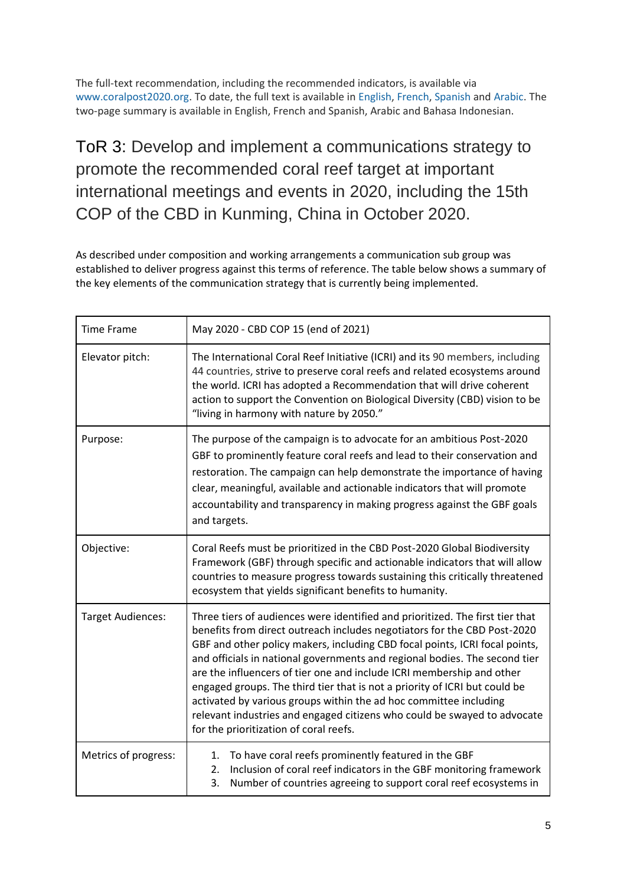The full-text recommendation, including the recommended indicators, is available via [www.coralpost2020.org.](http://www.coralpost2020.org/) To date, the full text is available i[n English,](https://www.icriforum.org/wp-content/uploads/2020/05/ICRI-recommendation-Post2020-FINAL.pdf) [French,](https://www.icriforum.org/wp-content/uploads/2020/06/ICRI-recommendation-Post2020-FINAL_FRENCH.pdf) [Spanish](https://www.icriforum.org/wp-content/uploads/2020/06/ICRI-recommendation-Post2020-FINAL_SPANISH.pdf) and [Arabic.](https://www.icriforum.org/wp-content/uploads/2020/06/ICRI-Recommendation-Summary.Arabic.pdf) The two-page summary is available in English, French and Spanish, Arabic and Bahasa Indonesian.

## ToR 3: Develop and implement a communications strategy to promote the recommended coral reef target at important international meetings and events in 2020, including the 15th COP of the CBD in Kunming, China in October 2020.

As described under composition and working arrangements a communication sub group was established to deliver progress against this terms of reference. The table below shows a summary of the key elements of the communication strategy that is currently being implemented.

| <b>Time Frame</b>        | May 2020 - CBD COP 15 (end of 2021)                                                                                                                                                                                                                                                                                                                                                                                                                                                                                                                                                                                                                                      |  |  |
|--------------------------|--------------------------------------------------------------------------------------------------------------------------------------------------------------------------------------------------------------------------------------------------------------------------------------------------------------------------------------------------------------------------------------------------------------------------------------------------------------------------------------------------------------------------------------------------------------------------------------------------------------------------------------------------------------------------|--|--|
| Elevator pitch:          | The International Coral Reef Initiative (ICRI) and its 90 members, including<br>44 countries, strive to preserve coral reefs and related ecosystems around<br>the world. ICRI has adopted a Recommendation that will drive coherent<br>action to support the Convention on Biological Diversity (CBD) vision to be<br>"living in harmony with nature by 2050."                                                                                                                                                                                                                                                                                                           |  |  |
| Purpose:                 | The purpose of the campaign is to advocate for an ambitious Post-2020<br>GBF to prominently feature coral reefs and lead to their conservation and<br>restoration. The campaign can help demonstrate the importance of having<br>clear, meaningful, available and actionable indicators that will promote<br>accountability and transparency in making progress against the GBF goals<br>and targets.                                                                                                                                                                                                                                                                    |  |  |
| Objective:               | Coral Reefs must be prioritized in the CBD Post-2020 Global Biodiversity<br>Framework (GBF) through specific and actionable indicators that will allow<br>countries to measure progress towards sustaining this critically threatened<br>ecosystem that yields significant benefits to humanity.                                                                                                                                                                                                                                                                                                                                                                         |  |  |
| <b>Target Audiences:</b> | Three tiers of audiences were identified and prioritized. The first tier that<br>benefits from direct outreach includes negotiators for the CBD Post-2020<br>GBF and other policy makers, including CBD focal points, ICRI focal points,<br>and officials in national governments and regional bodies. The second tier<br>are the influencers of tier one and include ICRI membership and other<br>engaged groups. The third tier that is not a priority of ICRI but could be<br>activated by various groups within the ad hoc committee including<br>relevant industries and engaged citizens who could be swayed to advocate<br>for the prioritization of coral reefs. |  |  |
| Metrics of progress:     | To have coral reefs prominently featured in the GBF<br>1.<br>Inclusion of coral reef indicators in the GBF monitoring framework<br>2.<br>Number of countries agreeing to support coral reef ecosystems in<br>3.                                                                                                                                                                                                                                                                                                                                                                                                                                                          |  |  |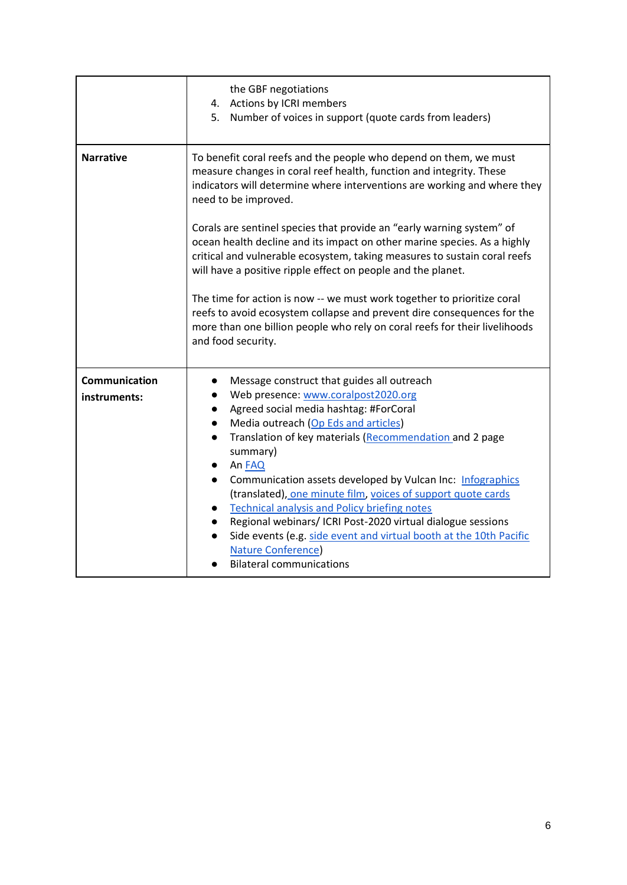|                               | the GBF negotiations<br>4. Actions by ICRI members<br>5. Number of voices in support (quote cards from leaders)                                                                                                                                                                                                                                                                                                                                                                                                                                                                                                                                                           |  |  |  |  |
|-------------------------------|---------------------------------------------------------------------------------------------------------------------------------------------------------------------------------------------------------------------------------------------------------------------------------------------------------------------------------------------------------------------------------------------------------------------------------------------------------------------------------------------------------------------------------------------------------------------------------------------------------------------------------------------------------------------------|--|--|--|--|
| <b>Narrative</b>              | To benefit coral reefs and the people who depend on them, we must<br>measure changes in coral reef health, function and integrity. These<br>indicators will determine where interventions are working and where they<br>need to be improved.                                                                                                                                                                                                                                                                                                                                                                                                                              |  |  |  |  |
|                               | Corals are sentinel species that provide an "early warning system" of<br>ocean health decline and its impact on other marine species. As a highly<br>critical and vulnerable ecosystem, taking measures to sustain coral reefs<br>will have a positive ripple effect on people and the planet.                                                                                                                                                                                                                                                                                                                                                                            |  |  |  |  |
|                               | The time for action is now -- we must work together to prioritize coral<br>reefs to avoid ecosystem collapse and prevent dire consequences for the<br>more than one billion people who rely on coral reefs for their livelihoods<br>and food security.                                                                                                                                                                                                                                                                                                                                                                                                                    |  |  |  |  |
| Communication<br>instruments: | Message construct that guides all outreach<br>Web presence: www.coralpost2020.org<br>$\bullet$<br>Agreed social media hashtag: #ForCoral<br>Media outreach (Op Eds and articles)<br>$\bullet$<br>Translation of key materials (Recommendation and 2 page<br>summary)<br>An FAQ<br>Communication assets developed by Vulcan Inc: Infographics<br>(translated), one minute film, voices of support quote cards<br><b>Technical analysis and Policy briefing notes</b><br>Regional webinars/ ICRI Post-2020 virtual dialogue sessions<br>Side events (e.g. side event and virtual booth at the 10th Pacific<br><b>Nature Conference</b> )<br><b>Bilateral communications</b> |  |  |  |  |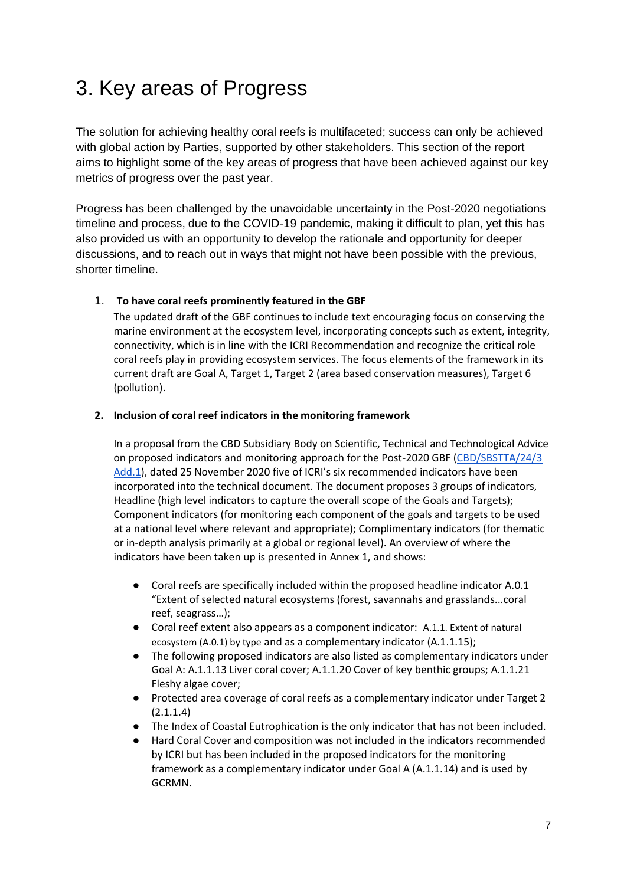## <span id="page-6-0"></span>3. Key areas of Progress

The solution for achieving healthy coral reefs is multifaceted; success can only be achieved with global action by Parties, supported by other stakeholders. This section of the report aims to highlight some of the key areas of progress that have been achieved against our key metrics of progress over the past year.

Progress has been challenged by the unavoidable uncertainty in the Post-2020 negotiations timeline and process, due to the COVID-19 pandemic, making it difficult to plan, yet this has also provided us with an opportunity to develop the rationale and opportunity for deeper discussions, and to reach out in ways that might not have been possible with the previous, shorter timeline.

#### 1. **To have coral reefs prominently featured in the GBF**

The updated draft of the GBF continues to include text encouraging focus on conserving the marine environment at the ecosystem level, incorporating concepts such as extent, integrity, connectivity, which is in line with the ICRI Recommendation and recognize the critical role coral reefs play in providing ecosystem services. The focus elements of the framework in its current draft are Goal A, Target 1, Target 2 (area based conservation measures), Target 6 (pollution).

#### **2. Inclusion of coral reef indicators in the monitoring framework**

In a proposal from the CBD Subsidiary Body on Scientific, Technical and Technological Advice on proposed indicators and monitoring approach for the Post-2020 GBF [\(CBD/SBSTTA/24/3](https://www.cbd.int/doc/c/f076/da6b/3a3716040a8c6146de1cb3bc/sbstta-24-03-add1-en.pdf)  [Add.1\)](https://www.cbd.int/doc/c/f076/da6b/3a3716040a8c6146de1cb3bc/sbstta-24-03-add1-en.pdf), dated 25 November 2020 five of ICRI's six recommended indicators have been incorporated into the technical document. The document proposes 3 groups of indicators, Headline (high level indicators to capture the overall scope of the Goals and Targets); Component indicators (for monitoring each component of the goals and targets to be used at a national level where relevant and appropriate); Complimentary indicators (for thematic or in-depth analysis primarily at a global or regional level). An overview of where the indicators have been taken up is presented in Annex 1, and shows:

- Coral reefs are specifically included within the proposed headline indicator A.0.1 "Extent of selected natural ecosystems (forest, savannahs and grasslands...coral reef, seagrass…);
- Coral reef extent also appears as a component indicator: A.1.1. Extent of natural ecosystem (A.0.1) by type and as a complementary indicator (A.1.1.15);
- The following proposed indicators are also listed as complementary indicators under Goal A: A.1.1.13 Liver coral cover; A.1.1.20 Cover of key benthic groups; A.1.1.21 Fleshy algae cover;
- Protected area coverage of coral reefs as a complementary indicator under Target 2 (2.1.1.4)
- The Index of Coastal Eutrophication is the only indicator that has not been included.
- Hard Coral Cover and composition was not included in the indicators recommended by ICRI but has been included in the proposed indicators for the monitoring framework as a complementary indicator under Goal A (A.1.1.14) and is used by GCRMN.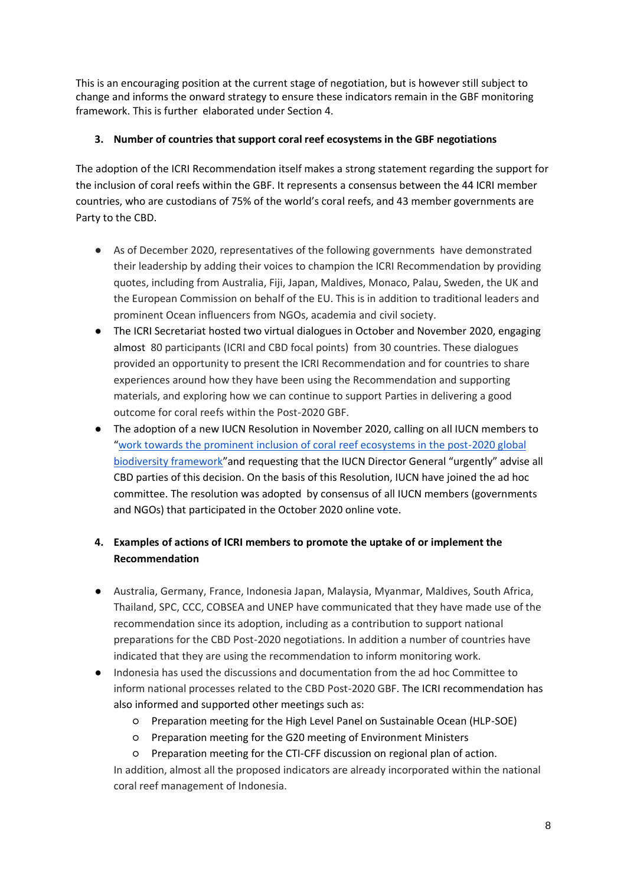This is an encouraging position at the current stage of negotiation, but is however still subject to change and informs the onward strategy to ensure these indicators remain in the GBF monitoring framework. This is further elaborated under Section 4.

#### **3. Number of countries that support coral reef ecosystems in the GBF negotiations**

The adoption of the ICRI Recommendation itself makes a strong statement regarding the support for the inclusion of coral reefs within the GBF. It represents a consensus between the 44 ICRI member countries, who are custodians of 75% of the world's coral reefs, and 43 member governments are Party to the CBD.

- As of December 2020, representatives of the following governments have demonstrated their leadership by adding their voices to champion the ICRI Recommendation by providing quotes, including from Australia, Fiji, Japan, Maldives, Monaco, Palau, Sweden, the UK and the European Commission on behalf of the EU. This is in addition to traditional leaders and prominent Ocean influencers from NGOs, academia and civil society.
- The ICRI Secretariat hosted two virtual dialogues in October and November 2020, engaging almost 80 participants (ICRI and CBD focal points) from 30 countries. These dialogues provided an opportunity to present the ICRI Recommendation and for countries to share experiences around how they have been using the Recommendation and supporting materials, and exploring how we can continue to support Parties in delivering a good outcome for coral reefs within the Post-2020 GBF.
- The adoption of a new IUCN Resolution in November 2020, calling on all IUCN members to "[work towards the prominent inclusion of coral reef ecosystems in the post-2020 global](https://www.iucncongress2020.org/motion/122)  [biodiversity framework](https://www.iucncongress2020.org/motion/122)"and requesting that the IUCN Director General "urgently" advise all CBD parties of this decision. On the basis of this Resolution, IUCN have joined the ad hoc committee. The resolution was adopted by consensus of all IUCN members (governments and NGOs) that participated in the October 2020 online vote.

### **4. Examples of actions of ICRI members to promote the uptake of or implement the Recommendation**

- Australia, Germany, France, Indonesia Japan, Malaysia, Myanmar, Maldives, South Africa, Thailand, SPC, CCC, COBSEA and UNEP have communicated that they have made use of the recommendation since its adoption, including as a contribution to support national preparations for the CBD Post-2020 negotiations. In addition a number of countries have indicated that they are using the recommendation to inform monitoring work.
- Indonesia has used the discussions and documentation from the ad hoc Committee to inform national processes related to the CBD Post-2020 GBF. The ICRI recommendation has also informed and supported other meetings such as:
	- Preparation meeting for the High Level Panel on Sustainable Ocean (HLP-SOE)
	- Preparation meeting for the G20 meeting of Environment Ministers
	- Preparation meeting for the CTI-CFF discussion on regional plan of action.

In addition, almost all the proposed indicators are already incorporated within the national coral reef management of Indonesia.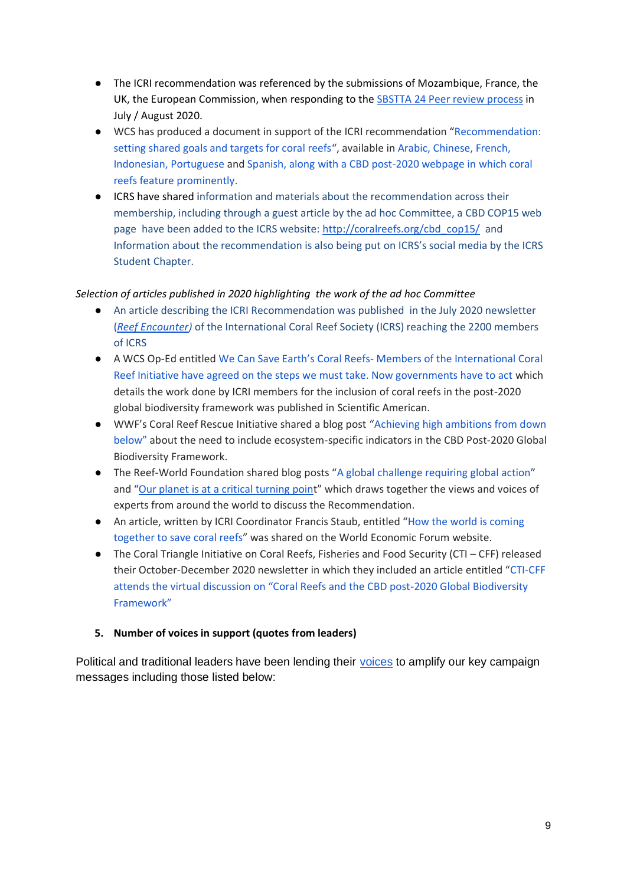- The ICRI recommendation was referenced by the submissions of Mozambique, France, the UK, the European Commission, when responding to the [SBSTTA 24 Peer review process](https://www.cbd.int/sbstta24/review.shtml) in July / August 2020.
- WCS has produced a document in support of the ICRI recommendation "[Recommendation:](https://www.icriforum.org/wp-content/uploads/2020/09/38nwqd2fjr_7.31.20_CBD_Rec_2_Pager.pdf)  [setting shared goals and targets for coral reefs](https://www.icriforum.org/wp-content/uploads/2020/09/38nwqd2fjr_7.31.20_CBD_Rec_2_Pager.pdf)", available in [Arabic,](https://c532f75abb9c1c021b8c-e46e473f8aadb72cf2a8ea564b4e6a76.ssl.cf5.rackcdn.com/2020/09/03/3p52tcdxm9_2020_CBD_Rec_2_Pager_AR.pdf) [Chinese,](https://c532f75abb9c1c021b8c-e46e473f8aadb72cf2a8ea564b4e6a76.ssl.cf5.rackcdn.com/2020/09/03/8tf6i5bizz_2020_CBD_Rec_2_Pager_ZH.pdf) [French,](https://c532f75abb9c1c021b8c-e46e473f8aadb72cf2a8ea564b4e6a76.ssl.cf5.rackcdn.com/2020/09/03/a06eorrqx_2020_CBD_Rec_2_Pager_FR.pdf)  [Indonesian,](https://c532f75abb9c1c021b8c-e46e473f8aadb72cf2a8ea564b4e6a76.ssl.cf5.rackcdn.com/2020/09/03/2ow0mj0v9a_2020_CBD_Rec_2_Pager_IND.pdf) [Portuguese](https://c532f75abb9c1c021b8c-e46e473f8aadb72cf2a8ea564b4e6a76.ssl.cf5.rackcdn.com/2020/09/03/3vceixdvpz_2020_CBD_Rec_2_Pager_PT.pdf) and [Spanish, along with a CBD post-2020 webpage in which coral](https://www.wcs.org/our-work/cbd)  [reefs feature prominently.](https://www.wcs.org/our-work/cbd)
- ICRS have shared information and materials about the recommendation across their membership, including through a guest article by the ad hoc Committee, a CBD COP15 web page have been added to the ICRS website: [http://coralreefs.org/cbd\\_cop15/](http://coralreefs.org/cbd_cop15/) and Information about the recommendation is also being put on ICRS's social media by the ICRS Student Chapter.

#### *Selection of articles published in 2020 highlighting the work of the ad hoc Committee*

- An article describing the ICRI Recommendation was published in the July 2020 newsletter (*[Reef Encounter\)](http://coralreefs.org/wp-content/uploads/2018/12/Reef_Encounter_Jul_2020_hi-res.pdf)* of the International Coral Reef Society (ICRS) reaching the 2200 members of ICRS
- A WCS Op-Ed entitled We Can Save Earth's Coral Reefs- [Members of the International Coral](https://www.scientificamerican.com/article/we-can-save-earths-coral-reefs/)  [Reef Initiative have agreed on the steps we must take. Now governments have to act](https://www.scientificamerican.com/article/we-can-save-earths-coral-reefs/) which details the work done by ICRI members for the inclusion of coral reefs in the post-2020 global biodiversity framework was published in Scientific American.
- WWF's Coral Reef Rescue Initiative shared a blog post "[Achieving high ambitions from down](https://medium.com/@WWF/achieving-high-ambitions-from-down-below-coral-reefs-and-the-new-deal-for-nature-people-430613c3b7ec)  [below"](https://medium.com/@WWF/achieving-high-ambitions-from-down-below-coral-reefs-and-the-new-deal-for-nature-people-430613c3b7ec) about the need to include ecosystem-specific indicators in the CBD Post-2020 Global Biodiversity Framework.
- The Reef-World Foundation shared blog posts "[A global challenge requiring global action](https://reef-world.org/blog/icri-post-2020)" and "[Our planet is at a critical turning poin](https://reef-world.org/blog/icri-post-2020-part2)t" which draws together the views and voices of experts from around the world to discuss the Recommendation.
- An article, written by ICRI Coordinator Francis Staub, entitled "How the world is coming [together to save coral reefs](https://www.weforum.org/agenda/2020/12/how-the-world-is-coming-together-to-save-coral-reefs/)" was shared on the World Economic Forum website.
- The Coral Triangle Initiative on Coral Reefs, Fisheries and Food Security (CTI CFF) released their October-December 2020 newsletter in which they included an article entitled "[CTI-CFF](https://online.fliphtml5.com/lqwsy/cqtu/#p=6)  [attends the virtual discussion on "Coral Reefs and the CBD post](https://online.fliphtml5.com/lqwsy/cqtu/#p=6)-2020 Global Biodiversity [Framework"](https://online.fliphtml5.com/lqwsy/cqtu/#p=6)

#### **5. Number of voices in support (quotes from leaders)**

Political and traditional leaders have been lending their [voices](https://www.icriforum.org/post-2020-voices-of-support/) to amplify our key campaign messages including those listed below: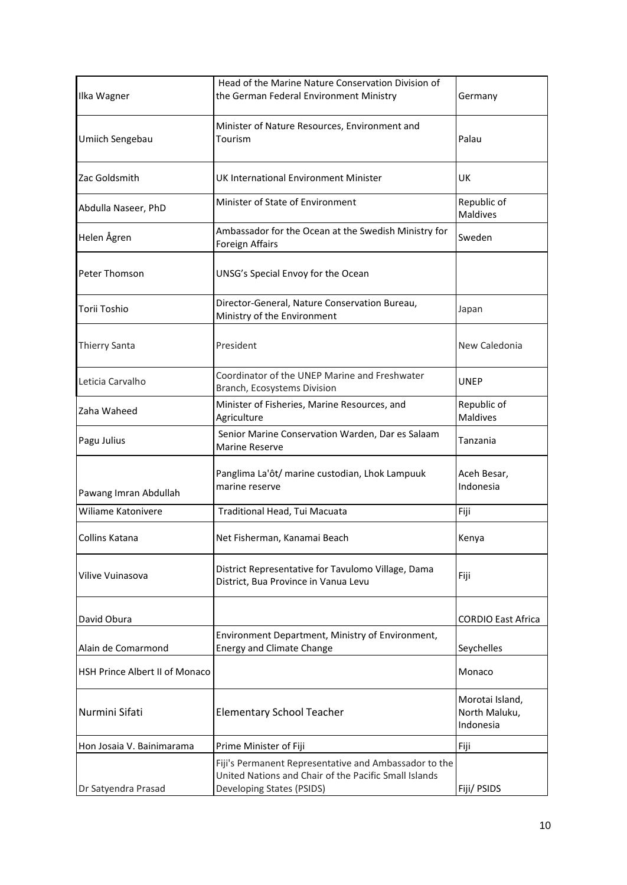| Ilka Wagner                           | Head of the Marine Nature Conservation Division of<br>the German Federal Environment Ministry                                               | Germany                        |
|---------------------------------------|---------------------------------------------------------------------------------------------------------------------------------------------|--------------------------------|
| Umiich Sengebau                       | Minister of Nature Resources, Environment and<br>Tourism                                                                                    | Palau                          |
| Zac Goldsmith                         | UK International Environment Minister                                                                                                       | UK                             |
| Abdulla Naseer, PhD                   | Minister of State of Environment                                                                                                            | Republic of<br><b>Maldives</b> |
| Helen Ågren                           | Ambassador for the Ocean at the Swedish Ministry for<br>Foreign Affairs                                                                     | Sweden                         |
| Peter Thomson                         | UNSG's Special Envoy for the Ocean                                                                                                          |                                |
| Torii Toshio                          | Director-General, Nature Conservation Bureau,<br>Ministry of the Environment                                                                | Japan                          |
| <b>Thierry Santa</b>                  | President                                                                                                                                   |                                |
| Leticia Carvalho                      | Coordinator of the UNEP Marine and Freshwater<br>Branch, Ecosystems Division                                                                | <b>UNEP</b>                    |
| Zaha Waheed                           | Minister of Fisheries, Marine Resources, and<br>Agriculture                                                                                 | Republic of<br><b>Maldives</b> |
| Pagu Julius                           | Senior Marine Conservation Warden, Dar es Salaam<br><b>Marine Reserve</b>                                                                   | Tanzania                       |
| Pawang Imran Abdullah                 | Panglima La'ôt/ marine custodian, Lhok Lampuuk<br>marine reserve                                                                            |                                |
| Wiliame Katonivere                    | Traditional Head, Tui Macuata                                                                                                               | Fiji                           |
| Collins Katana                        | Net Fisherman, Kanamai Beach                                                                                                                |                                |
| Vilive Vuinasova                      | District Representative for Tavulomo Village, Dama<br>District, Bua Province in Vanua Levu                                                  | Fiji                           |
| David Obura                           |                                                                                                                                             | <b>CORDIO East Africa</b>      |
| Alain de Comarmond                    | Environment Department, Ministry of Environment,<br><b>Energy and Climate Change</b>                                                        | Seychelles                     |
| <b>HSH Prince Albert II of Monaco</b> |                                                                                                                                             | Monaco                         |
| Nurmini Sifati                        | <b>Elementary School Teacher</b>                                                                                                            |                                |
| Hon Josaia V. Bainimarama             | Prime Minister of Fiji                                                                                                                      | Fiji                           |
| Dr Satyendra Prasad                   | Fiji's Permanent Representative and Ambassador to the<br>United Nations and Chair of the Pacific Small Islands<br>Developing States (PSIDS) | Fiji/ PSIDS                    |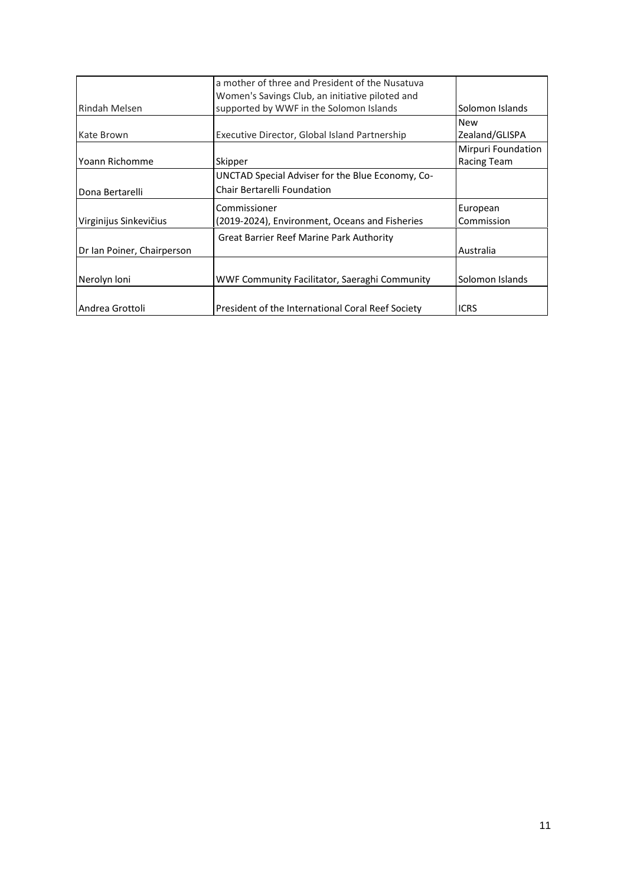|                            | a mother of three and President of the Nusatuva   |                    |
|----------------------------|---------------------------------------------------|--------------------|
|                            | Women's Savings Club, an initiative piloted and   |                    |
| Rindah Melsen              | supported by WWF in the Solomon Islands           | Solomon Islands    |
|                            |                                                   | <b>New</b>         |
| Kate Brown                 | Executive Director, Global Island Partnership     | Zealand/GLISPA     |
|                            |                                                   | Mirpuri Foundation |
| Yoann Richomme             | Skipper                                           | Racing Team        |
|                            | UNCTAD Special Adviser for the Blue Economy, Co-  |                    |
| Dona Bertarelli            | Chair Bertarelli Foundation                       |                    |
|                            | Commissioner                                      | European           |
| Virginijus Sinkevičius     | (2019-2024), Environment, Oceans and Fisheries    | Commission         |
|                            | Great Barrier Reef Marine Park Authority          |                    |
| Dr Ian Poiner, Chairperson |                                                   | Australia          |
|                            |                                                   |                    |
| Nerolyn Ioni               | WWF Community Facilitator, Saeraghi Community     | Solomon Islands    |
|                            |                                                   |                    |
| Andrea Grottoli            | President of the International Coral Reef Society | <b>ICRS</b>        |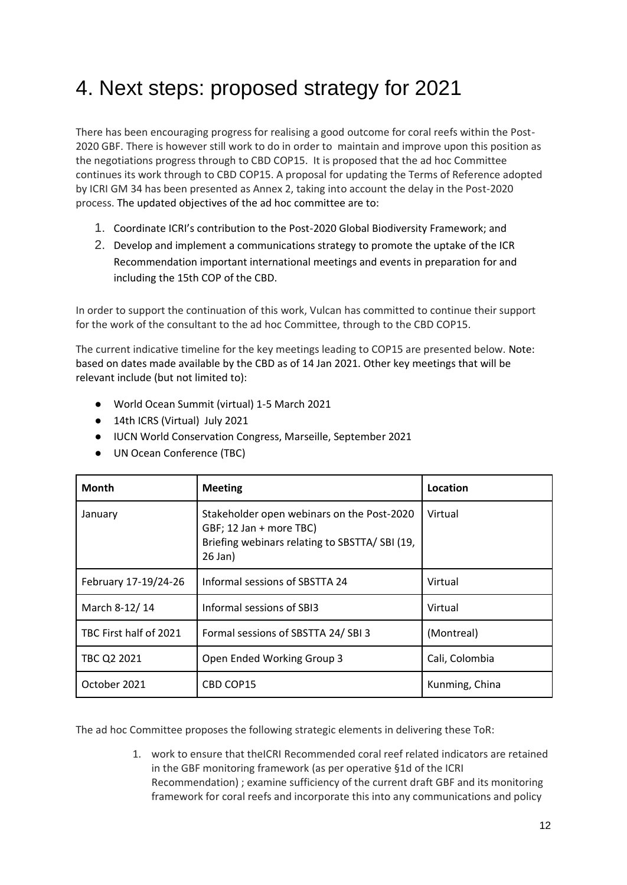## <span id="page-11-0"></span>4. Next steps: proposed strategy for 2021

There has been encouraging progress for realising a good outcome for coral reefs within the Post-2020 GBF. There is however still work to do in order to maintain and improve upon this position as the negotiations progress through to CBD COP15. It is proposed that the ad hoc Committee continues its work through to CBD COP15. A proposal for updating the Terms of Reference adopted by ICRI GM 34 has been presented as Annex 2, taking into account the delay in the Post-2020 process. The updated objectives of the ad hoc committee are to:

- 1. Coordinate ICRI's contribution to the Post-2020 Global Biodiversity Framework; and
- 2. Develop and implement a communications strategy to promote the uptake of the ICR Recommendation important international meetings and events in preparation for and including the 15th COP of the CBD.

In order to support the continuation of this work, Vulcan has committed to continue their support for the work of the consultant to the ad hoc Committee, through to the CBD COP15.

The current indicative timeline for the key meetings leading to COP15 are presented below. Note: based on dates made available by the CBD as of 14 Jan 2021. Other key meetings that will be relevant include (but not limited to):

- World Ocean Summit (virtual) 1-5 March 2021
- 14th ICRS (Virtual) July 2021
- IUCN World Conservation Congress, Marseille, September 2021
- UN Ocean Conference (TBC)

| <b>Month</b>           | <b>Meeting</b>                                                                                                                          | Location       |
|------------------------|-----------------------------------------------------------------------------------------------------------------------------------------|----------------|
| January                | Stakeholder open webinars on the Post-2020<br>GBF; 12 Jan + more TBC)<br>Briefing webinars relating to SBSTTA/ SBI (19,<br>$26$ Jan $)$ | Virtual        |
| February 17-19/24-26   | Informal sessions of SBSTTA 24                                                                                                          | Virtual        |
| March 8-12/14          | Informal sessions of SBI3                                                                                                               | Virtual        |
| TBC First half of 2021 | Formal sessions of SBSTTA 24/SBI3                                                                                                       | (Montreal)     |
| TBC Q2 2021            | Open Ended Working Group 3                                                                                                              | Cali, Colombia |
| October 2021           | CBD COP15                                                                                                                               | Kunming, China |

The ad hoc Committee proposes the following strategic elements in delivering these ToR:

1. work to ensure that theICRI Recommended coral reef related indicators are retained in the GBF monitoring framework (as per operative §1d of the ICRI Recommendation) ; examine sufficiency of the current draft GBF and its monitoring framework for coral reefs and incorporate this into any communications and policy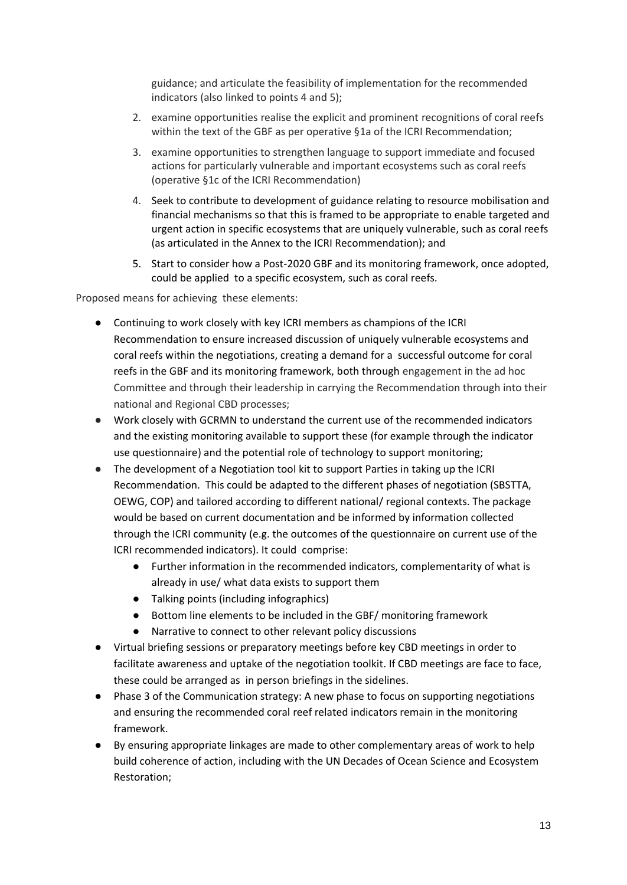guidance; and articulate the feasibility of implementation for the recommended indicators (also linked to points 4 and 5);

- 2. examine opportunities realise the explicit and prominent recognitions of coral reefs within the text of the GBF as per operative §1a of the ICRI Recommendation;
- 3. examine opportunities to strengthen language to support immediate and focused actions for particularly vulnerable and important ecosystems such as coral reefs (operative §1c of the ICRI Recommendation)
- 4. Seek to contribute to development of guidance relating to resource mobilisation and financial mechanisms so that this is framed to be appropriate to enable targeted and urgent action in specific ecosystems that are uniquely vulnerable, such as coral reefs (as articulated in the Annex to the ICRI Recommendation); and
- 5. Start to consider how a Post-2020 GBF and its monitoring framework, once adopted, could be applied to a specific ecosystem, such as coral reefs.

Proposed means for achieving these elements:

- Continuing to work closely with key ICRI members as champions of the ICRI Recommendation to ensure increased discussion of uniquely vulnerable ecosystems and coral reefs within the negotiations, creating a demand for a successful outcome for coral reefs in the GBF and its monitoring framework, both through engagement in the ad hoc Committee and through their leadership in carrying the Recommendation through into their national and Regional CBD processes;
- Work closely with GCRMN to understand the current use of the recommended indicators and the existing monitoring available to support these (for example through the indicator use questionnaire) and the potential role of technology to support monitoring;
- The development of a Negotiation tool kit to support Parties in taking up the ICRI Recommendation. This could be adapted to the different phases of negotiation (SBSTTA, OEWG, COP) and tailored according to different national/ regional contexts. The package would be based on current documentation and be informed by information collected through the ICRI community (e.g. the outcomes of the questionnaire on current use of the ICRI recommended indicators). It could comprise:
	- Further information in the recommended indicators, complementarity of what is already in use/ what data exists to support them
	- Talking points (including infographics)
	- Bottom line elements to be included in the GBF/ monitoring framework
	- Narrative to connect to other relevant policy discussions
- Virtual briefing sessions or preparatory meetings before key CBD meetings in order to facilitate awareness and uptake of the negotiation toolkit. If CBD meetings are face to face, these could be arranged as in person briefings in the sidelines.
- Phase 3 of the Communication strategy: A new phase to focus on supporting negotiations and ensuring the recommended coral reef related indicators remain in the monitoring framework.
- By ensuring appropriate linkages are made to other complementary areas of work to help build coherence of action, including with the UN Decades of Ocean Science and Ecosystem Restoration;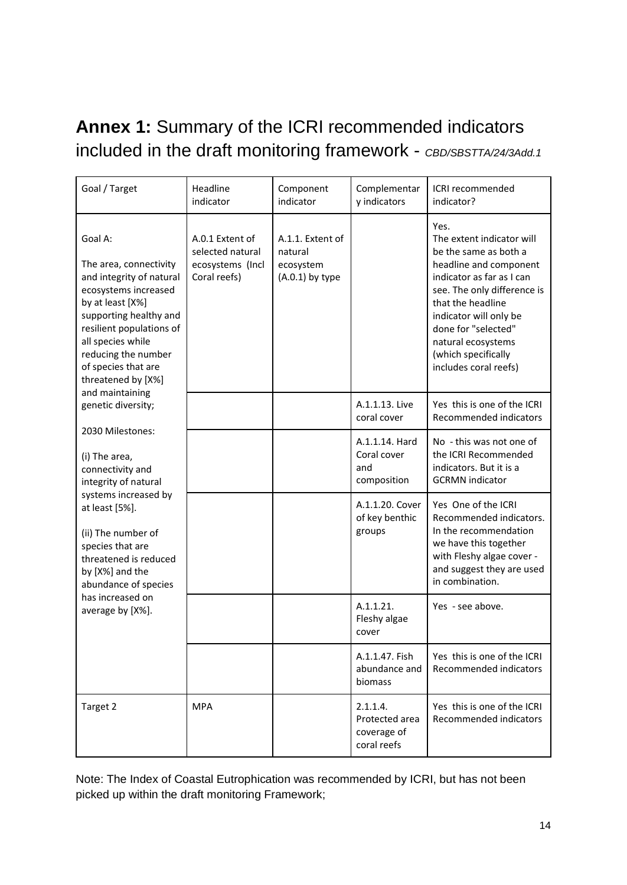## <span id="page-13-0"></span>**Annex 1:** Summary of the ICRI recommended indicators included in the draft monitoring framework - *CBD/SBSTTA/24/3Add.1*

| Goal / Target                                                                                                                                                                                                                                                                                     | Headline<br>indicator                                                   | Component<br>indicator                                        | Complementar<br>y indicators                             | ICRI recommended<br>indicator?                                                                                                                                                                                                                                                               |
|---------------------------------------------------------------------------------------------------------------------------------------------------------------------------------------------------------------------------------------------------------------------------------------------------|-------------------------------------------------------------------------|---------------------------------------------------------------|----------------------------------------------------------|----------------------------------------------------------------------------------------------------------------------------------------------------------------------------------------------------------------------------------------------------------------------------------------------|
| Goal A:<br>The area, connectivity<br>and integrity of natural<br>ecosystems increased<br>by at least [X%]<br>supporting healthy and<br>resilient populations of<br>all species while<br>reducing the number<br>of species that are<br>threatened by [X%]<br>and maintaining<br>genetic diversity; | A.0.1 Extent of<br>selected natural<br>ecosystems (Incl<br>Coral reefs) | A.1.1. Extent of<br>natural<br>ecosystem<br>$(A.0.1)$ by type |                                                          | Yes.<br>The extent indicator will<br>be the same as both a<br>headline and component<br>indicator as far as I can<br>see. The only difference is<br>that the headline<br>indicator will only be<br>done for "selected"<br>natural ecosystems<br>(which specifically<br>includes coral reefs) |
|                                                                                                                                                                                                                                                                                                   |                                                                         |                                                               | A.1.1.13. Live<br>coral cover                            | Yes this is one of the ICRI<br>Recommended indicators                                                                                                                                                                                                                                        |
| 2030 Milestones:<br>(i) The area,<br>connectivity and<br>integrity of natural<br>systems increased by<br>at least [5%].<br>(ii) The number of<br>species that are<br>threatened is reduced<br>by [X%] and the<br>abundance of species<br>has increased on<br>average by [X%].                     |                                                                         |                                                               | A.1.1.14. Hard<br>Coral cover<br>and<br>composition      | No - this was not one of<br>the ICRI Recommended<br>indicators. But it is a<br><b>GCRMN</b> indicator                                                                                                                                                                                        |
|                                                                                                                                                                                                                                                                                                   |                                                                         |                                                               | A.1.1.20. Cover<br>of key benthic<br>groups              | Yes One of the ICRI<br>Recommended indicators.<br>In the recommendation<br>we have this together<br>with Fleshy algae cover -<br>and suggest they are used<br>in combination.                                                                                                                |
|                                                                                                                                                                                                                                                                                                   |                                                                         |                                                               | A.1.1.21.<br>Fleshy algae<br>cover                       | Yes - see above.                                                                                                                                                                                                                                                                             |
|                                                                                                                                                                                                                                                                                                   |                                                                         |                                                               | A.1.1.47. Fish<br>abundance and<br>biomass               | Yes this is one of the ICRI<br>Recommended indicators                                                                                                                                                                                                                                        |
| Target 2                                                                                                                                                                                                                                                                                          | <b>MPA</b>                                                              |                                                               | 2.1.1.4.<br>Protected area<br>coverage of<br>coral reefs | Yes this is one of the ICRI<br>Recommended indicators                                                                                                                                                                                                                                        |

Note: The Index of Coastal Eutrophication was recommended by ICRI, but has not been picked up within the draft monitoring Framework;